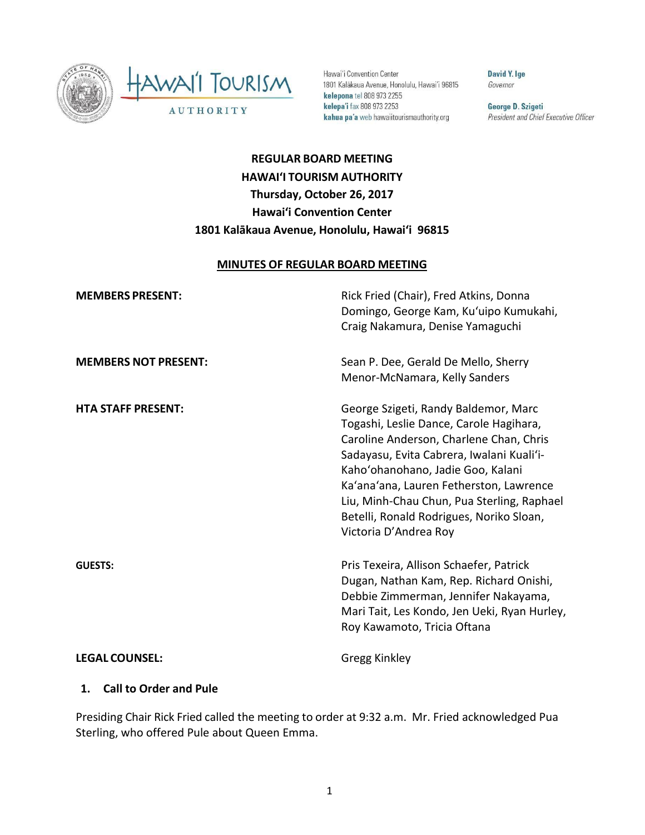

HAWAI'I TOURISM AUTHORITY

Hawai'i Convention Center 1801 Kalākaua Avenue, Honolulu, Hawai'i 96815 kelepona tel 808 973 2255 kelepa'i fax 808 973 2253 kahua pa'a web hawaiitourismauthority.org

David Y. Ige Governor

George D. Szigeti President and Chief Executive Officer

# **REGULAR BOARD MEETING HAWAI'I TOURISM AUTHORITY Thursday, October 26, 2017 Hawai'i Convention Center 1801 Kalākaua Avenue, Honolulu, Hawai'i 96815**

#### **MINUTES OF REGULAR BOARD MEETING**

| <b>MEMBERS PRESENT:</b>     | Rick Fried (Chair), Fred Atkins, Donna<br>Domingo, George Kam, Ku'uipo Kumukahi,<br>Craig Nakamura, Denise Yamaguchi                                                                                                                                                                                                                                                       |
|-----------------------------|----------------------------------------------------------------------------------------------------------------------------------------------------------------------------------------------------------------------------------------------------------------------------------------------------------------------------------------------------------------------------|
| <b>MEMBERS NOT PRESENT:</b> | Sean P. Dee, Gerald De Mello, Sherry<br>Menor-McNamara, Kelly Sanders                                                                                                                                                                                                                                                                                                      |
| <b>HTA STAFF PRESENT:</b>   | George Szigeti, Randy Baldemor, Marc<br>Togashi, Leslie Dance, Carole Hagihara,<br>Caroline Anderson, Charlene Chan, Chris<br>Sadayasu, Evita Cabrera, Iwalani Kuali'i-<br>Kaho'ohanohano, Jadie Goo, Kalani<br>Ka'ana'ana, Lauren Fetherston, Lawrence<br>Liu, Minh-Chau Chun, Pua Sterling, Raphael<br>Betelli, Ronald Rodrigues, Noriko Sloan,<br>Victoria D'Andrea Roy |
| <b>GUESTS:</b>              | Pris Texeira, Allison Schaefer, Patrick<br>Dugan, Nathan Kam, Rep. Richard Onishi,<br>Debbie Zimmerman, Jennifer Nakayama,<br>Mari Tait, Les Kondo, Jen Ueki, Ryan Hurley,<br>Roy Kawamoto, Tricia Oftana                                                                                                                                                                  |
| <b>LEGAL COUNSEL:</b>       | Gregg Kinkley                                                                                                                                                                                                                                                                                                                                                              |

#### **1. Call to Order and Pule**

Presiding Chair Rick Fried called the meeting to order at 9:32 a.m. Mr. Fried acknowledged Pua Sterling, who offered Pule about Queen Emma.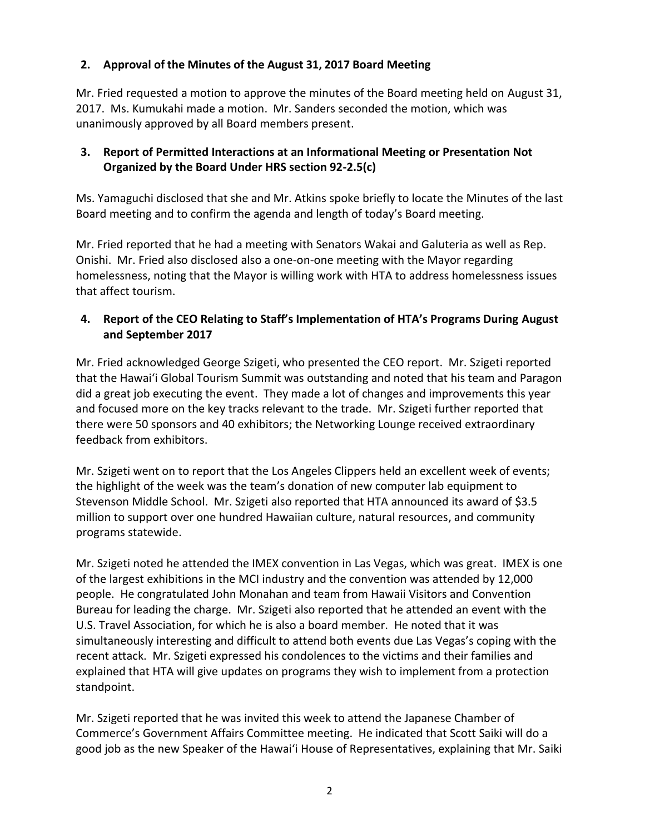# **2. Approval of the Minutes of the August 31, 2017 Board Meeting**

Mr. Fried requested a motion to approve the minutes of the Board meeting held on August 31, 2017. Ms. Kumukahi made a motion. Mr. Sanders seconded the motion, which was unanimously approved by all Board members present.

# **3. Report of Permitted Interactions at an Informational Meeting or Presentation Not Organized by the Board Under HRS section 92-2.5(c)**

Ms. Yamaguchi disclosed that she and Mr. Atkins spoke briefly to locate the Minutes of the last Board meeting and to confirm the agenda and length of today's Board meeting.

Mr. Fried reported that he had a meeting with Senators Wakai and Galuteria as well as Rep. Onishi. Mr. Fried also disclosed also a one-on-one meeting with the Mayor regarding homelessness, noting that the Mayor is willing work with HTA to address homelessness issues that affect tourism.

### **4. Report of the CEO Relating to Staff's Implementation of HTA's Programs During August and September 2017**

Mr. Fried acknowledged George Szigeti, who presented the CEO report. Mr. Szigeti reported that the Hawaiʻi Global Tourism Summit was outstanding and noted that his team and Paragon did a great job executing the event. They made a lot of changes and improvements this year and focused more on the key tracks relevant to the trade. Mr. Szigeti further reported that there were 50 sponsors and 40 exhibitors; the Networking Lounge received extraordinary feedback from exhibitors.

Mr. Szigeti went on to report that the Los Angeles Clippers held an excellent week of events; the highlight of the week was the team's donation of new computer lab equipment to Stevenson Middle School. Mr. Szigeti also reported that HTA announced its award of \$3.5 million to support over one hundred Hawaiian culture, natural resources, and community programs statewide.

Mr. Szigeti noted he attended the IMEX convention in Las Vegas, which was great. IMEX is one of the largest exhibitions in the MCI industry and the convention was attended by 12,000 people. He congratulated John Monahan and team from Hawaii Visitors and Convention Bureau for leading the charge. Mr. Szigeti also reported that he attended an event with the U.S. Travel Association, for which he is also a board member. He noted that it was simultaneously interesting and difficult to attend both events due Las Vegas's coping with the recent attack. Mr. Szigeti expressed his condolences to the victims and their families and explained that HTA will give updates on programs they wish to implement from a protection standpoint.

Mr. Szigeti reported that he was invited this week to attend the Japanese Chamber of Commerce's Government Affairs Committee meeting. He indicated that Scott Saiki will do a good job as the new Speaker of the Hawaiʻi House of Representatives, explaining that Mr. Saiki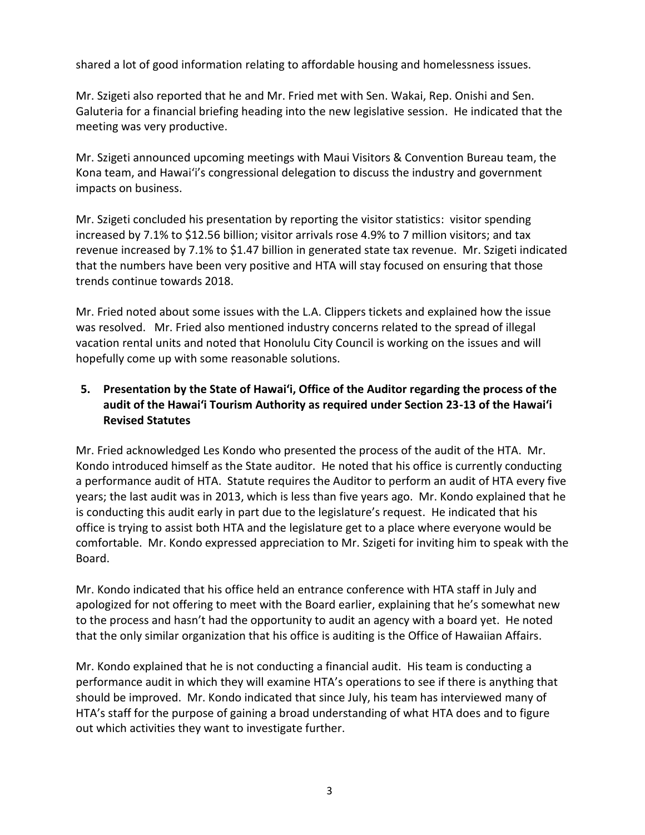shared a lot of good information relating to affordable housing and homelessness issues.

Mr. Szigeti also reported that he and Mr. Fried met with Sen. Wakai, Rep. Onishi and Sen. Galuteria for a financial briefing heading into the new legislative session. He indicated that the meeting was very productive.

Mr. Szigeti announced upcoming meetings with Maui Visitors & Convention Bureau team, the Kona team, and Hawaiʻi's congressional delegation to discuss the industry and government impacts on business.

Mr. Szigeti concluded his presentation by reporting the visitor statistics: visitor spending increased by 7.1% to \$12.56 billion; visitor arrivals rose 4.9% to 7 million visitors; and tax revenue increased by 7.1% to \$1.47 billion in generated state tax revenue. Mr. Szigeti indicated that the numbers have been very positive and HTA will stay focused on ensuring that those trends continue towards 2018.

Mr. Fried noted about some issues with the L.A. Clippers tickets and explained how the issue was resolved. Mr. Fried also mentioned industry concerns related to the spread of illegal vacation rental units and noted that Honolulu City Council is working on the issues and will hopefully come up with some reasonable solutions.

# **5. Presentation by the State of Hawai'i, Office of the Auditor regarding the process of the audit of the Hawai'i Tourism Authority as required under Section 23-13 of the Hawai'i Revised Statutes**

Mr. Fried acknowledged Les Kondo who presented the process of the audit of the HTA. Mr. Kondo introduced himself as the State auditor. He noted that his office is currently conducting a performance audit of HTA. Statute requires the Auditor to perform an audit of HTA every five years; the last audit was in 2013, which is less than five years ago. Mr. Kondo explained that he is conducting this audit early in part due to the legislature's request. He indicated that his office is trying to assist both HTA and the legislature get to a place where everyone would be comfortable. Mr. Kondo expressed appreciation to Mr. Szigeti for inviting him to speak with the Board.

Mr. Kondo indicated that his office held an entrance conference with HTA staff in July and apologized for not offering to meet with the Board earlier, explaining that he's somewhat new to the process and hasn't had the opportunity to audit an agency with a board yet. He noted that the only similar organization that his office is auditing is the Office of Hawaiian Affairs.

Mr. Kondo explained that he is not conducting a financial audit. His team is conducting a performance audit in which they will examine HTA's operations to see if there is anything that should be improved. Mr. Kondo indicated that since July, his team has interviewed many of HTA's staff for the purpose of gaining a broad understanding of what HTA does and to figure out which activities they want to investigate further.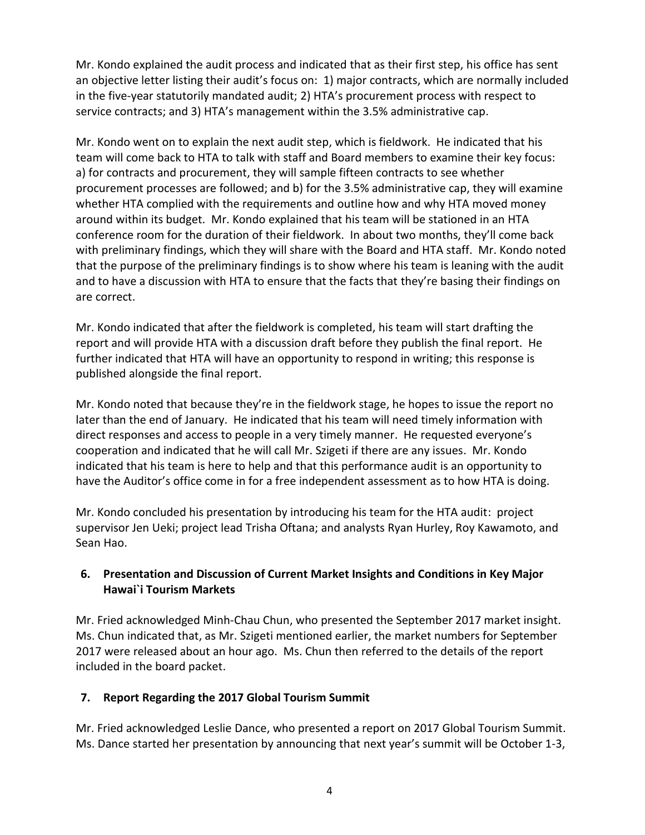Mr. Kondo explained the audit process and indicated that as their first step, his office has sent an objective letter listing their audit's focus on: 1) major contracts, which are normally included in the five-year statutorily mandated audit; 2) HTA's procurement process with respect to service contracts; and 3) HTA's management within the 3.5% administrative cap.

Mr. Kondo went on to explain the next audit step, which is fieldwork. He indicated that his team will come back to HTA to talk with staff and Board members to examine their key focus: a) for contracts and procurement, they will sample fifteen contracts to see whether procurement processes are followed; and b) for the 3.5% administrative cap, they will examine whether HTA complied with the requirements and outline how and why HTA moved money around within its budget. Mr. Kondo explained that his team will be stationed in an HTA conference room for the duration of their fieldwork. In about two months, they'll come back with preliminary findings, which they will share with the Board and HTA staff. Mr. Kondo noted that the purpose of the preliminary findings is to show where his team is leaning with the audit and to have a discussion with HTA to ensure that the facts that they're basing their findings on are correct.

Mr. Kondo indicated that after the fieldwork is completed, his team will start drafting the report and will provide HTA with a discussion draft before they publish the final report. He further indicated that HTA will have an opportunity to respond in writing; this response is published alongside the final report.

Mr. Kondo noted that because they're in the fieldwork stage, he hopes to issue the report no later than the end of January. He indicated that his team will need timely information with direct responses and access to people in a very timely manner. He requested everyone's cooperation and indicated that he will call Mr. Szigeti if there are any issues. Mr. Kondo indicated that his team is here to help and that this performance audit is an opportunity to have the Auditor's office come in for a free independent assessment as to how HTA is doing.

Mr. Kondo concluded his presentation by introducing his team for the HTA audit: project supervisor Jen Ueki; project lead Trisha Oftana; and analysts Ryan Hurley, Roy Kawamoto, and Sean Hao.

### **6. Presentation and Discussion of Current Market Insights and Conditions in Key Major Hawai`i Tourism Markets**

Mr. Fried acknowledged Minh-Chau Chun, who presented the September 2017 market insight. Ms. Chun indicated that, as Mr. Szigeti mentioned earlier, the market numbers for September 2017 were released about an hour ago. Ms. Chun then referred to the details of the report included in the board packet.

# **7. Report Regarding the 2017 Global Tourism Summit**

Mr. Fried acknowledged Leslie Dance, who presented a report on 2017 Global Tourism Summit. Ms. Dance started her presentation by announcing that next year's summit will be October 1-3,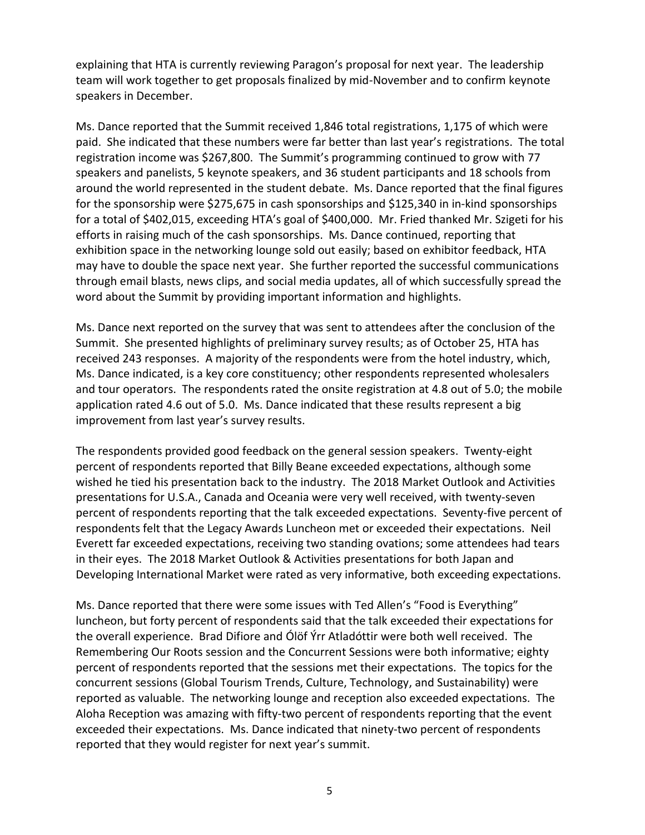explaining that HTA is currently reviewing Paragon's proposal for next year. The leadership team will work together to get proposals finalized by mid-November and to confirm keynote speakers in December.

Ms. Dance reported that the Summit received 1,846 total registrations, 1,175 of which were paid. She indicated that these numbers were far better than last year's registrations. The total registration income was \$267,800. The Summit's programming continued to grow with 77 speakers and panelists, 5 keynote speakers, and 36 student participants and 18 schools from around the world represented in the student debate. Ms. Dance reported that the final figures for the sponsorship were \$275,675 in cash sponsorships and \$125,340 in in-kind sponsorships for a total of \$402,015, exceeding HTA's goal of \$400,000. Mr. Fried thanked Mr. Szigeti for his efforts in raising much of the cash sponsorships. Ms. Dance continued, reporting that exhibition space in the networking lounge sold out easily; based on exhibitor feedback, HTA may have to double the space next year. She further reported the successful communications through email blasts, news clips, and social media updates, all of which successfully spread the word about the Summit by providing important information and highlights.

Ms. Dance next reported on the survey that was sent to attendees after the conclusion of the Summit. She presented highlights of preliminary survey results; as of October 25, HTA has received 243 responses. A majority of the respondents were from the hotel industry, which, Ms. Dance indicated, is a key core constituency; other respondents represented wholesalers and tour operators. The respondents rated the onsite registration at 4.8 out of 5.0; the mobile application rated 4.6 out of 5.0. Ms. Dance indicated that these results represent a big improvement from last year's survey results.

The respondents provided good feedback on the general session speakers. Twenty-eight percent of respondents reported that Billy Beane exceeded expectations, although some wished he tied his presentation back to the industry. The 2018 Market Outlook and Activities presentations for U.S.A., Canada and Oceania were very well received, with twenty-seven percent of respondents reporting that the talk exceeded expectations. Seventy-five percent of respondents felt that the Legacy Awards Luncheon met or exceeded their expectations. Neil Everett far exceeded expectations, receiving two standing ovations; some attendees had tears in their eyes. The 2018 Market Outlook & Activities presentations for both Japan and Developing International Market were rated as very informative, both exceeding expectations.

Ms. Dance reported that there were some issues with Ted Allen's "Food is Everything" luncheon, but forty percent of respondents said that the talk exceeded their expectations for the overall experience. Brad Difiore and Ólöf Ýrr Atladóttir were both well received. The Remembering Our Roots session and the Concurrent Sessions were both informative; eighty percent of respondents reported that the sessions met their expectations. The topics for the concurrent sessions (Global Tourism Trends, Culture, Technology, and Sustainability) were reported as valuable. The networking lounge and reception also exceeded expectations. The Aloha Reception was amazing with fifty-two percent of respondents reporting that the event exceeded their expectations. Ms. Dance indicated that ninety-two percent of respondents reported that they would register for next year's summit.